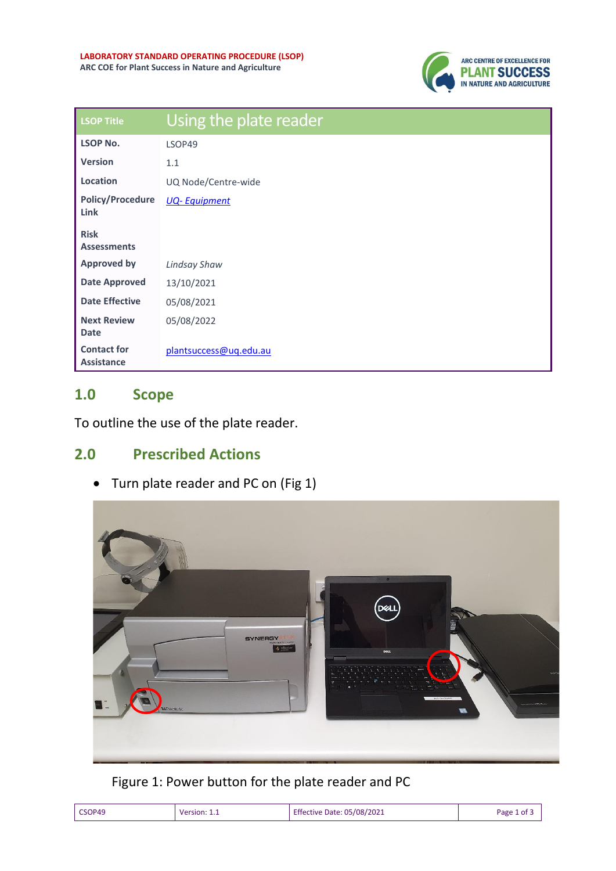

| <b>LSOP Title</b>                       | Using the plate reader |
|-----------------------------------------|------------------------|
| <b>LSOP No.</b>                         | LSOP49                 |
| <b>Version</b>                          | 1.1                    |
| Location                                | UQ Node/Centre-wide    |
| <b>Policy/Procedure</b><br><b>Link</b>  | <b>UQ-Equipment</b>    |
| <b>Risk</b><br><b>Assessments</b>       |                        |
| <b>Approved by</b>                      | Lindsay Shaw           |
| <b>Date Approved</b>                    | 13/10/2021             |
| <b>Date Effective</b>                   | 05/08/2021             |
| <b>Next Review</b><br><b>Date</b>       | 05/08/2022             |
| <b>Contact for</b><br><b>Assistance</b> | plantsuccess@ug.edu.au |

## **1.0 Scope**

To outline the use of the plate reader.

## **2.0 Prescribed Actions**

• Turn plate reader and PC on (Fig 1)



Figure 1: Power button for the plate reader and PC

| CSOP49<br>105/08/2021<br>Artive<br>sinn<br>Date:<br>۱۱۵۱ | Page |
|----------------------------------------------------------|------|
|----------------------------------------------------------|------|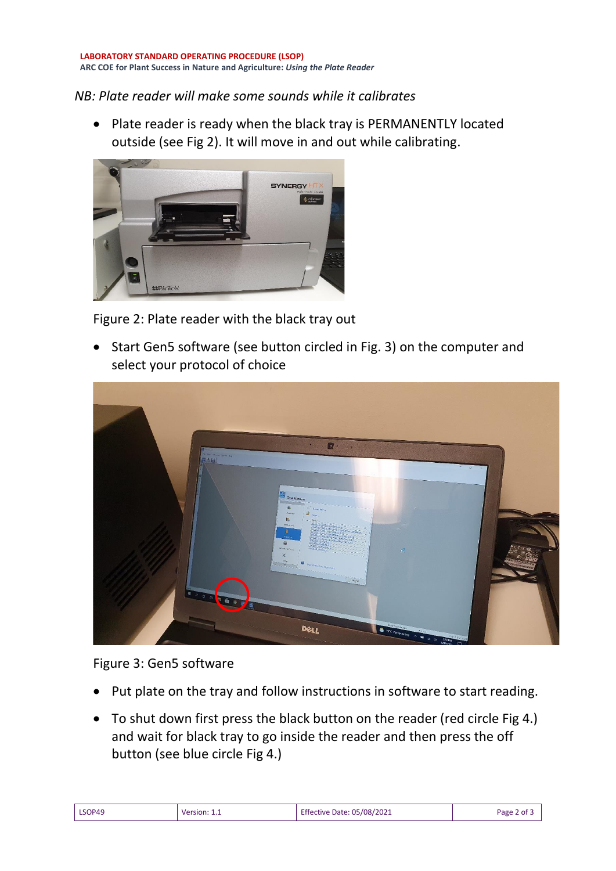## *NB: Plate reader will make some sounds while it calibrates*

• Plate reader is ready when the black tray is PERMANENTLY located outside (see Fig 2). It will move in and out while calibrating.



Figure 2: Plate reader with the black tray out

• Start Gen5 software (see button circled in Fig. 3) on the computer and select your protocol of choice



Figure 3: Gen5 software

- Put plate on the tray and follow instructions in software to start reading.
- To shut down first press the black button on the reader (red circle Fig 4.) and wait for black tray to go inside the reader and then press the off button (see blue circle Fig 4.)

| LSOP49 | Version:<br>. | <b>Effective Date: 05/08/2021</b> | 2 of<br>Page |
|--------|---------------|-----------------------------------|--------------|
|--------|---------------|-----------------------------------|--------------|